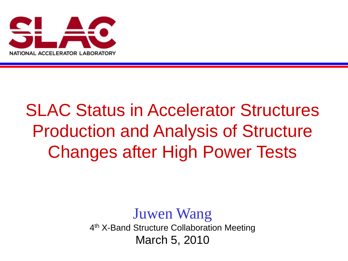

## SLAC Status in Accelerator Structures Production and Analysis of Structure Changes after High Power Tests

Juwen Wang 4<sup>th</sup> X-Band Structure Collaboration Meeting March 5, 2010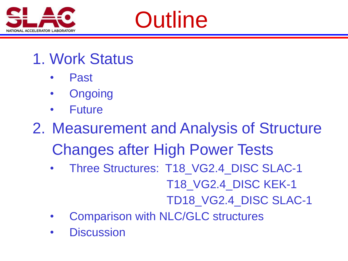

# **Outline**

- 1. Work Status
	- Past
	- **Ongoing**
	- **Future**
- 2. Measurement and Analysis of Structure Changes after High Power Tests
	- Three Structures: T18\_VG2.4\_DISC SLAC-1 T18\_VG2.4\_DISC KEK-1 TD18\_VG2.4\_DISC SLAC-1
	- Comparison with NLC/GLC structures
	- **Discussion**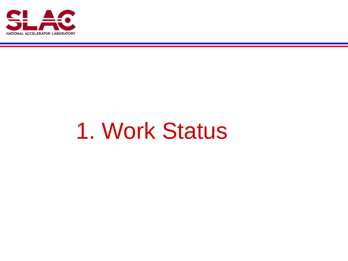

# 1. Work Status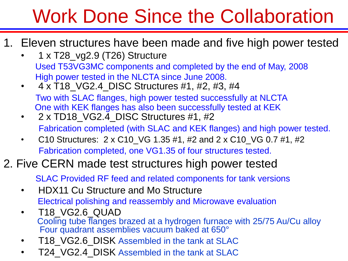# Work Done Since the Collaboration

- 1. Eleven structures have been made and five high power tested
	- 1 x T28\_vg2.9 (T26) Structure Used T53VG3MC components and completed by the end of May, 2008 High power tested in the NLCTA since June 2008.
	- 4 x T18\_VG2.4\_DISC Structures #1, #2, #3, #4 Two with SLAC flanges, high power tested successfully at NLCTA One with KEK flanges has also been successfully tested at KEK
	- $2 \times T$ D18 VG2.4 DISC Structures #1, #2 Fabrication completed (with SLAC and KEK flanges) and high power tested.
	- C10 Structures:  $2 \times C10$  VG 1.35 #1, #2 and  $2 \times C10$  VG 0.7 #1, #2 Fabrication completed, one VG1.35 of four structures tested.

### 2. Five CERN made test structures high power tested

SLAC Provided RF feed and related components for tank versions

- HDX11 Cu Structure and Mo Structure Electrical polishing and reassembly and Microwave evaluation
- T18\_VG2.6\_QUAD Cooling tube flanges brazed at a hydrogen furnace with 25/75 Au/Cu alloy Four quadrant assemblies vacuum baked at 650°
- T18 VG2.6 DISK Assembled in the tank at SLAC
- T24 VG2.4 DISK Assembled in the tank at SLAC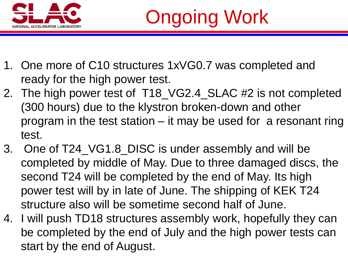

- 1. One more of C10 structures 1xVG0.7 was completed and ready for the high power test.
- 2. The high power test of T18\_VG2.4\_SLAC #2 is not completed (300 hours) due to the klystron broken-down and other program in the test station – it may be used for a resonant ring test.
- 3. One of T24 VG1.8\_DISC is under assembly and will be completed by middle of May. Due to three damaged discs, the second T24 will be completed by the end of May. Its high power test will by in late of June. The shipping of KEK T24 structure also will be sometime second half of June.
- 4. I will push TD18 structures assembly work, hopefully they can be completed by the end of July and the high power tests can start by the end of August.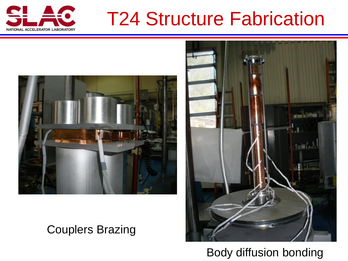

## T24 Structure Fabrication



### Couplers Brazing



Body diffusion bonding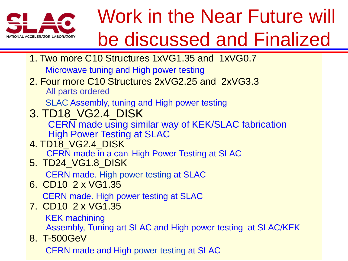

# Work in the Near Future will be discussed and Finalized

1. Two more C10 Structures 1xVG1.35 and 1xVG0.7

Microwave tuning and High power testing

2. Four more C10 Structures 2xVG2.25 and 2xVG3.3 All parts ordered

SLAC Assembly, tuning and High power testing

3. TD18\_VG2.4\_DISK

CERN made using similar way of KEK/SLAC fabrication High Power Testing at SLAC

4. TD18\_VG2.4\_DISK

CERN made in a can. High Power Testing at SLAC

5. TD24\_VG1.8\_DISK

CERN made. High power testing at SLAC

6. CD10 2 x VG1.35

CERN made. High power testing at SLAC

7. CD10 2 x VG1.35

KEK machining

Assembly, Tuning art SLAC and High power testing at SLAC/KEK

8. T-500GeV

CERN made and High power testing at SLAC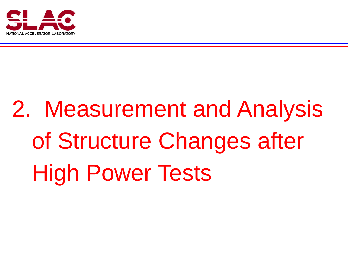

# 2. Measurement and Analysis of Structure Changes after High Power Tests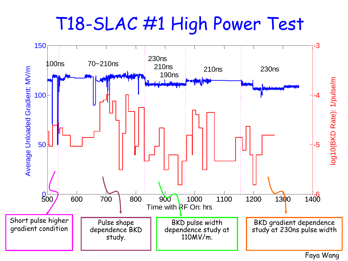T18-SLAC #1 High Power Test



Faya Wang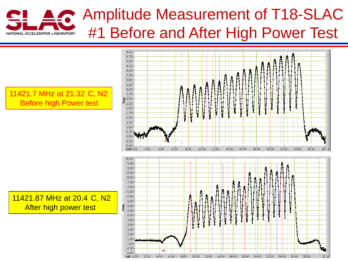### Amplitude Measurement of T18-SLAC #1 Before and After High Power Test ONAL ACCELERATOR LABORATORY

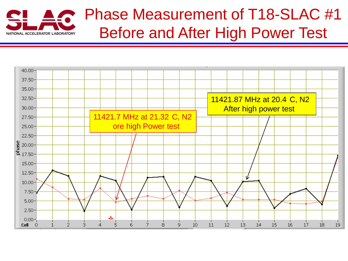

### Phase Measurement of T18-SLAC #1 Before and After High Power Test

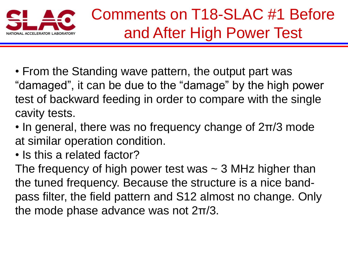

- From the Standing wave pattern, the output part was "damaged", it can be due to the "damage" by the high power test of backward feeding in order to compare with the single cavity tests.
- In general, there was no frequency change of 2π/3 mode at similar operation condition.
- Is this a related factor?

The frequency of high power test was  $\sim$  3 MHz higher than the tuned frequency. Because the structure is a nice bandpass filter, the field pattern and S12 almost no change. Only the mode phase advance was not 2π/3.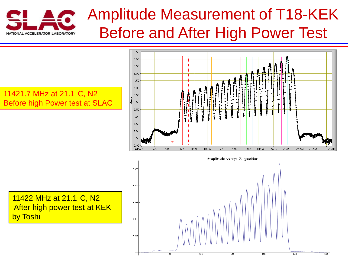

## Amplitude Measurement of T18-KEK Before and After High Power Test

#### 11421.7 MHz at 21.1 C, N2 Before high Power test at SLAC



Amplitude versys Z-position

11422 MHz at 21.1 C, N2 After high power test at KEK by Toshi

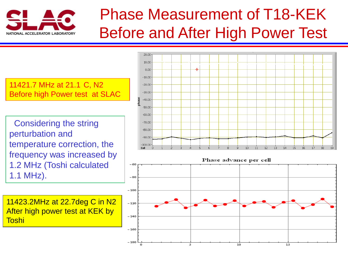

## Phase Measurement of T18-KEK Before and After High Power Test

11421.7 MHz at 21.1 C, N2 Before high Power test at SLAC

Considering the string perturbation and temperature correction, the frequency was increased by 1.2 MHz (Toshi calculated 1.1 MHz).

11423.2MHz at 22.7deg C in N2 After high power test at KEK by Toshi



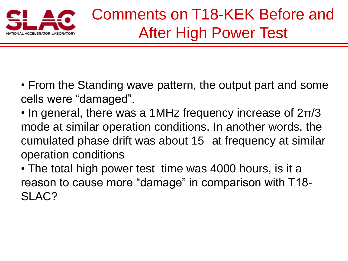

- From the Standing wave pattern, the output part and some cells were "damaged".
- In general, there was a 1MHz frequency increase of 2π/3 mode at similar operation conditions. In another words, the cumulated phase drift was about 15 at frequency at similar operation conditions
- The total high power test time was 4000 hours, is it a reason to cause more "damage" in comparison with T18- SLAC?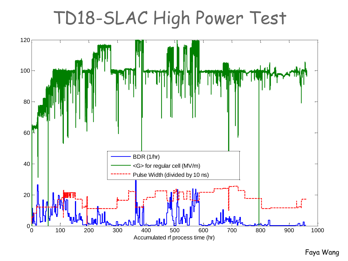## TD18-SLAC High Power Test



Faya Wang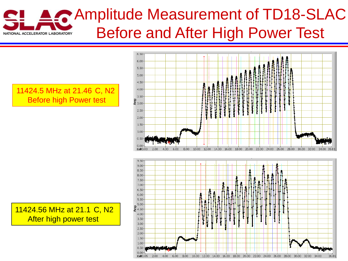### Amplitude Measurement of TD18-SLAC Before and After High Power Test **IATIONAL ACCELERATOR LABORATORY**

 $0.00<sub>1</sub>$ Cell 0.05

2.00

4.00

6.00

#### $6.50$  $6.00$  $5.50$ 5.00 4.50  $4.00$ 3.50 요<br>특 3.00·  $2.50$  $2.00<sup>°</sup>$  $1.50$ 1.00  $0.50$  $0.00$ 12.00 14.00 16.00 18.00 20.00 22.00 24.00 26.00 28.00 30.00 32.00 Cell 0.03 8.00  $10.00$  $9.50$  $9.00<sub>1</sub>$  $8.50<sup>°</sup>$  $8.00<sup>1</sup>$  $7.50<sup>°</sup>$  $7.00<sup>1</sup>$  $6.50<sup>°</sup>$  $6.00<sub>1</sub>$  $5.50<sub>2</sub>$ 5.00  $\frac{2}{5}$  4.50  $4.00<sup>1</sup>$  $3.50<sup>1</sup>$  $3.00<sup>1</sup>$  $2.50<sup>1</sup>$  $2.00<sup>1</sup>$  $1.50<sup>°</sup>$  $1.00<sup>1</sup>$  $0.50 -$

8.00 10.00 12.00 14.00 16.00 18.00 20.00 22.00 24.00 26.00 28.00 30.00 32.00 34.00

36.81

11424.5 MHz at 21.46 C, N2 Before high Power test

11424.56 MHz at 21.1 C, N2 After high power test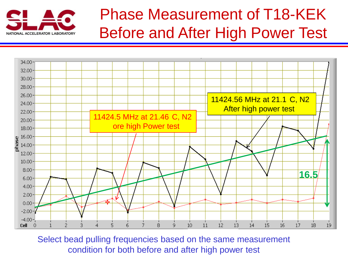

## Phase Measurement of T18-KEK Before and After High Power Test



Select bead pulling frequencies based on the same measurement condition for both before and after high power test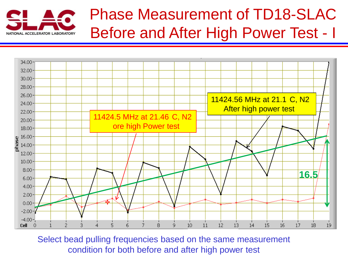

### Phase Measurement of TD18-SLAC Before and After High Power Test - I



Select bead pulling frequencies based on the same measurement condition for both before and after high power test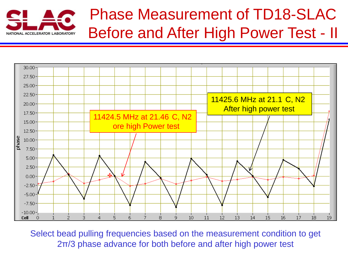

### Phase Measurement of TD18-SLAC Before and After High Power Test - II



Select bead pulling frequencies based on the measurement condition to get 2π/3 phase advance for both before and after high power test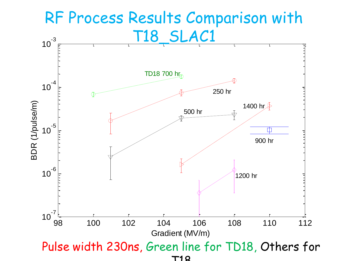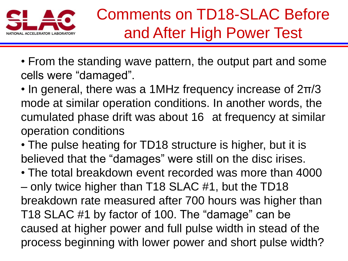

- From the standing wave pattern, the output part and some cells were "damaged".
- In general, there was a 1MHz frequency increase of 2π/3 mode at similar operation conditions. In another words, the cumulated phase drift was about 16 at frequency at similar operation conditions
- The pulse heating for TD18 structure is higher, but it is believed that the "damages" were still on the disc irises.
- The total breakdown event recorded was more than 4000 – only twice higher than T18 SLAC #1, but the TD18 breakdown rate measured after 700 hours was higher than T18 SLAC #1 by factor of 100. The "damage" can be caused at higher power and full pulse width in stead of the process beginning with lower power and short pulse width?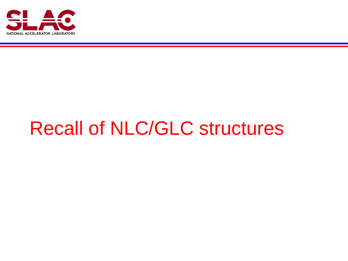

# Recall of NLC/GLC structures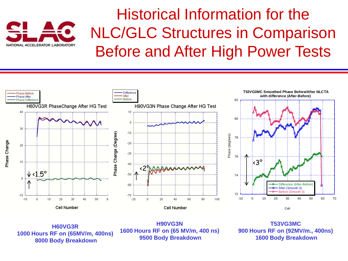

### Historical Information for the NLC/GLC Structures in Comparison Before and After High Power Tests



**H60VG3R 1000 Hours RF on (65MV/m, 400ns) 8000 Body Breakdown**

**H90VG3N 1600 Hours RF on (65 MV/m, 400 ns) 9500 Body Breakdown**

**T53VG3MC 900 Hours RF on (92MV/m., 400ns) 1600 Body Breakdown**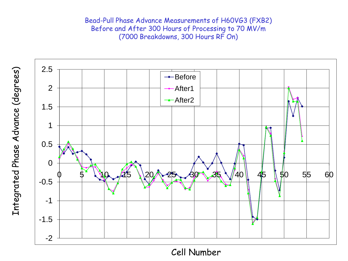Bead -Pull Phase Advance Measurements of H60VG3 (FXB2) Before and After 300 Hours of Processing to 70 MV/m (7000 Breakdowns, 300 Hours RF On)



Cell Number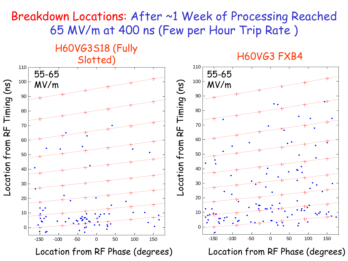### Breakdown Locations: After ~1 Week of Processing Reached 65 MV/m at 400 ns (Few per Hour Trip Rate )

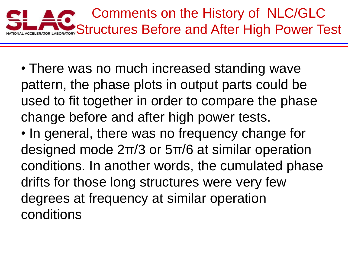

• There was no much increased standing wave pattern, the phase plots in output parts could be used to fit together in order to compare the phase change before and after high power tests.

• In general, there was no frequency change for designed mode 2π/3 or 5π/6 at similar operation conditions. In another words, the cumulated phase drifts for those long structures were very few degrees at frequency at similar operation conditions